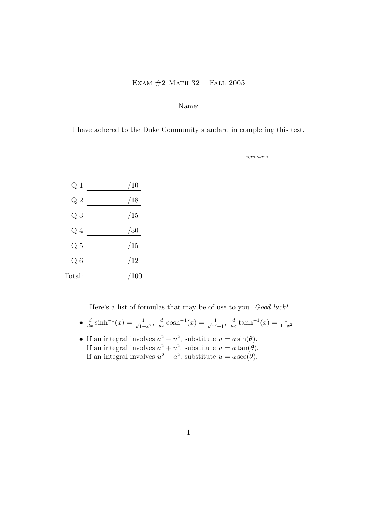## EXAM  $#2$  MATH  $32$  – FALL  $2005$

## Name:

I have adhered to the Duke Community standard in completing this test.

signature

| $\mathrm{Q}$ 1 | 10            |
|----------------|---------------|
| $\mathrm{Q}$ 2 | 18            |
| Q <sub>3</sub> | 15            |
| Q 4            | $^{\prime}30$ |
| Q5             | 15            |
| Q 6            | 12            |
| Total:         | $00\,$        |

Here's a list of formulas that may be of use to you. Good luck!

- $\frac{d}{dx}$  sinh<sup>-1</sup> $(x) = \frac{1}{\sqrt{1+1}}$  $\frac{1}{1+x^2}$ ,  $\frac{d}{dx} \cosh^{-1}(x) = \frac{1}{\sqrt{x^2}}$  $\frac{1}{x^2-1}$ ,  $\frac{d}{dx}$  tanh<sup>-1</sup>(x) =  $\frac{1}{1-x^2}$
- If an integral involves  $a^2 u^2$ , substitute  $u = a \sin(\theta)$ . If an integral involves  $a^2 + u^2$ , substitute  $u = a \tan(\theta)$ . If an integral involves  $u^2 - a^2$ , substitute  $u = a \sec(\theta)$ .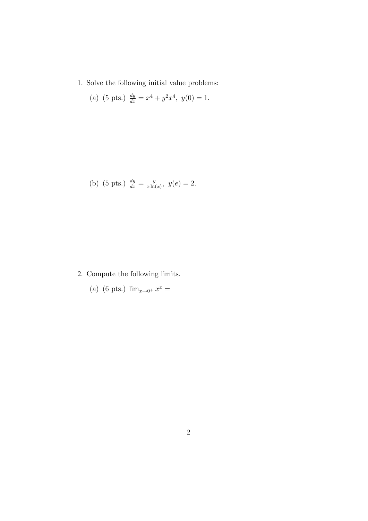1. Solve the following initial value problems:

(a) (5 pts.) 
$$
\frac{dy}{dx} = x^4 + y^2 x^4
$$
,  $y(0) = 1$ .

(b) (5 pts.) 
$$
\frac{dy}{dx} = \frac{y}{x \ln(x)}, y(e) = 2.
$$

- 2. Compute the following limits.
	- (a) (6 pts.)  $\lim_{x\to 0^+} x^x =$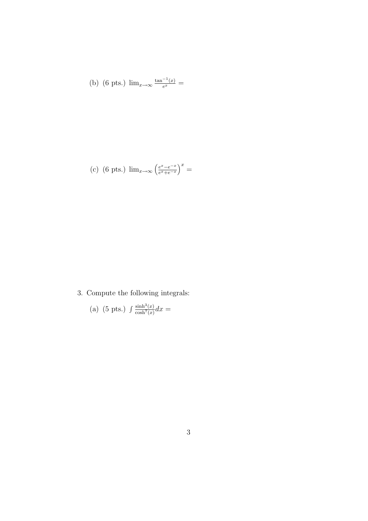(b) (6 pts.) 
$$
\lim_{x \to \infty} \frac{\tan^{-1}(x)}{e^x} =
$$

(c) (6 pts.) 
$$
\lim_{x \to \infty} \left( \frac{e^x - e^{-x}}{e^x + e^{-x}} \right)^x =
$$

3. Compute the following integrals:

(a) (5 pts.) 
$$
\int \frac{\sinh^{3}(x)}{\cosh^{7}(x)} dx =
$$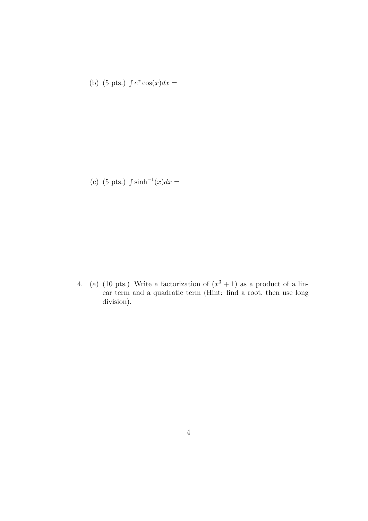(b) (5 pts.)  $\int e^x \cos(x) dx =$ 

(c) (5 pts.)  $\int \sinh^{-1}(x)dx =$ 

4. (a) (10 pts.) Write a factorization of  $(x^3 + 1)$  as a product of a linear term and a quadratic term (Hint: find a root, then use long division).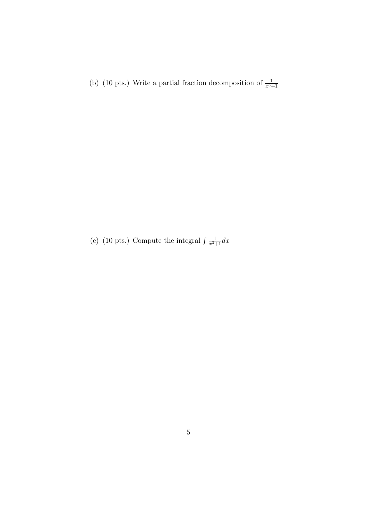(b) (10 pts.) Write a partial fraction decomposition of  $\frac{1}{x^3+1}$ 

(c) (10 pts.) Compute the integral  $\int \frac{1}{x^3+1} dx$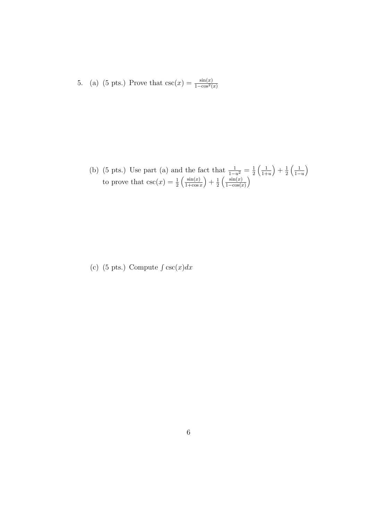5. (a) (5 pts.) Prove that  $\csc(x) = \frac{\sin(x)}{1-\cos^2(x)}$ 

(b) (5 pts.) Use part (a) and the fact that  $\frac{1}{1-u^2} = \frac{1}{2}$ 2  $\left( \frac{1}{2} \right)$  $1+u$  $+ \frac{1}{2}$ 2  $\left( \frac{1}{2} \right)$  $1-u$  $\setminus$ to prove that  $\csc(x) = \frac{1}{2}$  $\int \frac{\sin(x)}{x}$  $1+\cos x$  $+ \frac{1}{2}$ 2  $\int$   $\sin(x)$  $1-\cos(x)$  $\setminus$ 

(c) (5 pts.) Compute  $\int \csc(x) dx$